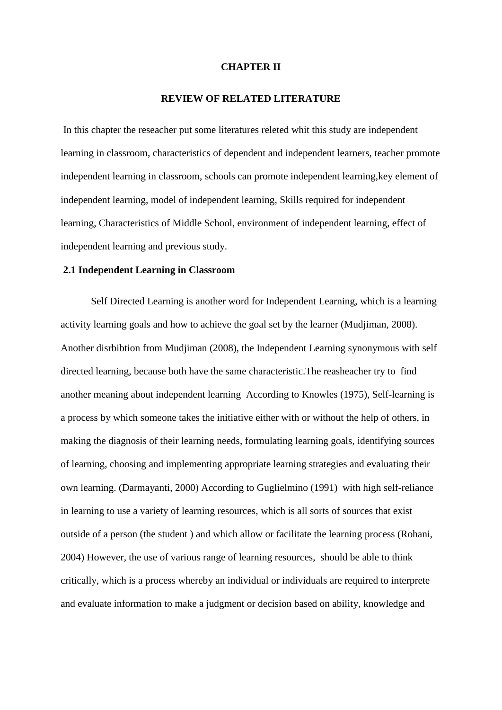#### **CHAPTER II**

### **REVIEW OF RELATED LITERATURE**

In this chapter the reseacher put some literatures releted whit this study are independent learning in classroom, characteristics of dependent and independent learners, teacher promote independent learning in classroom, schools can promote independent learning,key element of independent learning, model of independent learning, Skills required for independent learning, Characteristics of Middle School, environment of independent learning, effect of independent learning and previous study.

#### **2.1 Independent Learning in Classroom**

Self Directed Learning is another word for Independent Learning, which is a learning activity learning goals and how to achieve the goal set by the learner (Mudjiman, 2008). Another disrbibtion from Mudjiman (2008), the Independent Learning synonymous with self directed learning, because both have the same characteristic.The reasheacher try to find another meaning about independent learning According to Knowles (1975), Self-learning is a process by which someone takes the initiative either with or without the help of others, in making the diagnosis of their learning needs, formulating learning goals, identifying sources of learning, choosing and implementing appropriate learning strategies and evaluating their own learning. (Darmayanti, 2000) According to Guglielmino (1991) with high self-reliance in learning to use a variety of learning resources, which is all sorts of sources that exist outside of a person (the student ) and which allow or facilitate the learning process (Rohani, 2004) However, the use of various range of learning resources, should be able to think critically, which is a process whereby an individual or individuals are required to interprete and evaluate information to make a judgment or decision based on ability, knowledge and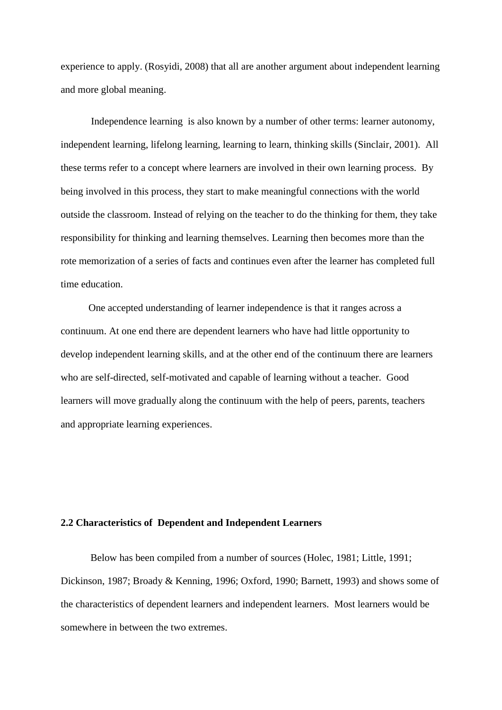experience to apply. (Rosyidi, 2008) that all are another argument about independent learning and more global meaning.

Independence learning is also known by a number of other terms: learner autonomy, independent learning, lifelong learning, learning to learn, thinking skills (Sinclair, 2001). All these terms refer to a concept where learners are involved in their own learning process. By being involved in this process, they start to make meaningful connections with the world outside the classroom. Instead of relying on the teacher to do the thinking for them, they take responsibility for thinking and learning themselves. Learning then becomes more than the rote memorization of a series of facts and continues even after the learner has completed full time education.

 One accepted understanding of learner independence is that it ranges across a continuum. At one end there are dependent learners who have had little opportunity to develop independent learning skills, and at the other end of the continuum there are learners who are self-directed, self-motivated and capable of learning without a teacher. Good learners will move gradually along the continuum with the help of peers, parents, teachers and appropriate learning experiences.

# **2.2 Characteristics of Dependent and Independent Learners**

Below has been compiled from a number of sources (Holec, 1981; Little, 1991; Dickinson, 1987; Broady & Kenning, 1996; Oxford, 1990; Barnett, 1993) and shows some of the characteristics of dependent learners and independent learners. Most learners would be somewhere in between the two extremes.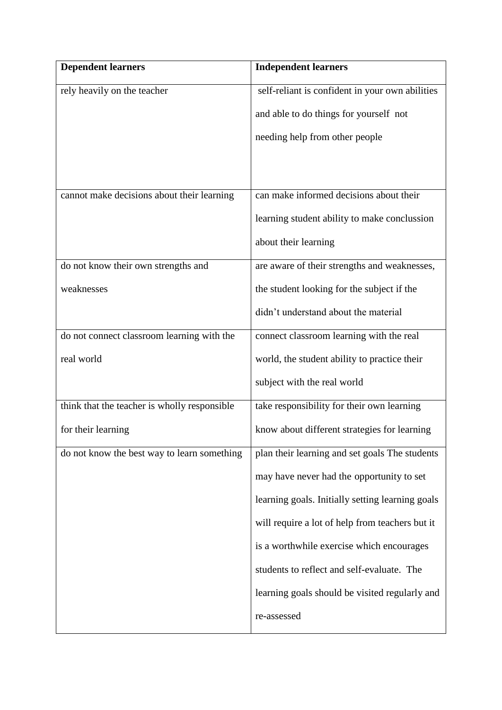| <b>Dependent learners</b>                    | <b>Independent learners</b>                      |
|----------------------------------------------|--------------------------------------------------|
| rely heavily on the teacher                  | self-reliant is confident in your own abilities  |
|                                              | and able to do things for yourself not           |
|                                              | needing help from other people                   |
|                                              |                                                  |
|                                              |                                                  |
| cannot make decisions about their learning   | can make informed decisions about their          |
|                                              | learning student ability to make conclussion     |
|                                              | about their learning                             |
| do not know their own strengths and          | are aware of their strengths and weaknesses,     |
| weaknesses                                   | the student looking for the subject if the       |
|                                              | didn't understand about the material             |
| do not connect classroom learning with the   | connect classroom learning with the real         |
| real world                                   | world, the student ability to practice their     |
|                                              | subject with the real world                      |
| think that the teacher is wholly responsible | take responsibility for their own learning       |
| for their learning                           | know about different strategies for learning     |
| do not know the best way to learn something  | plan their learning and set goals The students   |
|                                              | may have never had the opportunity to set        |
|                                              | learning goals. Initially setting learning goals |
|                                              | will require a lot of help from teachers but it  |
|                                              | is a worthwhile exercise which encourages        |
|                                              | students to reflect and self-evaluate. The       |
|                                              | learning goals should be visited regularly and   |
|                                              | re-assessed                                      |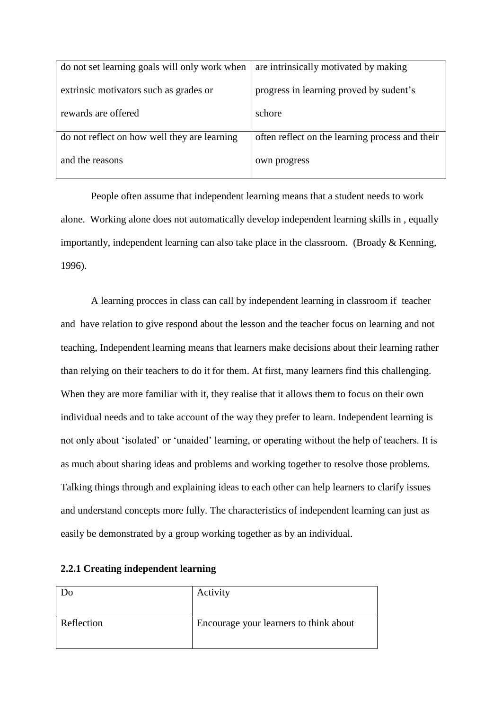| do not set learning goals will only work when | are intrinsically motivated by making           |
|-----------------------------------------------|-------------------------------------------------|
| extrinsic motivators such as grades or        | progress in learning proved by sudent's         |
| rewards are offered                           | schore                                          |
| do not reflect on how well they are learning  | often reflect on the learning process and their |
| and the reasons                               | own progress                                    |

People often assume that independent learning means that a student needs to work alone. Working alone does not automatically develop independent learning skills in , equally importantly, independent learning can also take place in the classroom. (Broady & Kenning, 1996).

A learning procces in class can call by independent learning in classroom if teacher and have relation to give respond about the lesson and the teacher focus on learning and not teaching, Independent learning means that learners make decisions about their learning rather than relying on their teachers to do it for them. At first, many learners find this challenging. When they are more familiar with it, they realise that it allows them to focus on their own individual needs and to take account of the way they prefer to learn. Independent learning is not only about 'isolated' or 'unaided' learning, or operating without the help of teachers. It is as much about sharing ideas and problems and working together to resolve those problems. Talking things through and explaining ideas to each other can help learners to clarify issues and understand concepts more fully. The characteristics of independent learning can just as easily be demonstrated by a group working together as by an individual.

| Do         | Activity                               |
|------------|----------------------------------------|
| Reflection | Encourage your learners to think about |

# **2.2.1 Creating independent learning**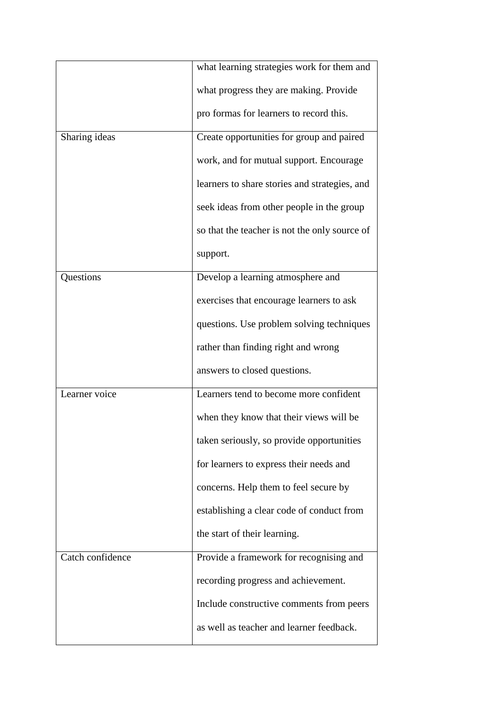|                  | what learning strategies work for them and    |
|------------------|-----------------------------------------------|
|                  | what progress they are making. Provide        |
|                  | pro formas for learners to record this.       |
| Sharing ideas    | Create opportunities for group and paired     |
|                  | work, and for mutual support. Encourage       |
|                  | learners to share stories and strategies, and |
|                  | seek ideas from other people in the group     |
|                  | so that the teacher is not the only source of |
|                  | support.                                      |
| Questions        | Develop a learning atmosphere and             |
|                  | exercises that encourage learners to ask      |
|                  | questions. Use problem solving techniques     |
|                  | rather than finding right and wrong           |
|                  | answers to closed questions.                  |
| Learner voice    | Learners tend to become more confident        |
|                  | when they know that their views will be       |
|                  | taken seriously, so provide opportunities     |
|                  | for learners to express their needs and       |
|                  | concerns. Help them to feel secure by         |
|                  | establishing a clear code of conduct from     |
|                  | the start of their learning.                  |
| Catch confidence | Provide a framework for recognising and       |
|                  | recording progress and achievement.           |
|                  | Include constructive comments from peers      |
|                  | as well as teacher and learner feedback.      |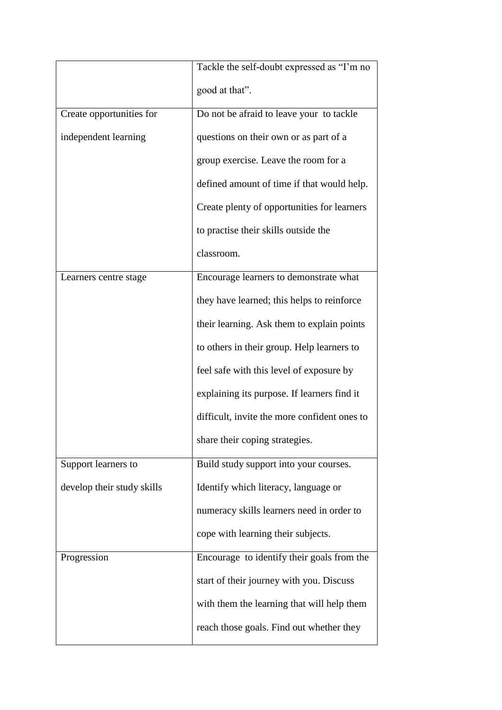|                            | Tackle the self-doubt expressed as "I'm no   |
|----------------------------|----------------------------------------------|
|                            | good at that".                               |
| Create opportunities for   | Do not be afraid to leave your to tackle     |
| independent learning       | questions on their own or as part of a       |
|                            | group exercise. Leave the room for a         |
|                            | defined amount of time if that would help.   |
|                            | Create plenty of opportunities for learners  |
|                            | to practise their skills outside the         |
|                            | classroom.                                   |
| Learners centre stage      | Encourage learners to demonstrate what       |
|                            | they have learned; this helps to reinforce   |
|                            | their learning. Ask them to explain points   |
|                            | to others in their group. Help learners to   |
|                            | feel safe with this level of exposure by     |
|                            | explaining its purpose. If learners find it  |
|                            | difficult, invite the more confident ones to |
|                            | share their coping strategies.               |
| Support learners to        | Build study support into your courses.       |
| develop their study skills | Identify which literacy, language or         |
|                            | numeracy skills learners need in order to    |
|                            | cope with learning their subjects.           |
| Progression                | Encourage to identify their goals from the   |
|                            | start of their journey with you. Discuss     |
|                            | with them the learning that will help them   |
|                            | reach those goals. Find out whether they     |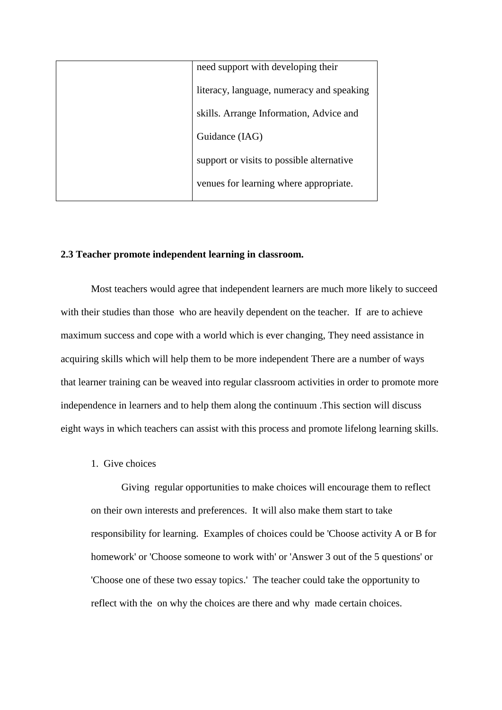| need support with developing their        |
|-------------------------------------------|
| literacy, language, numeracy and speaking |
| skills. Arrange Information, Advice and   |
| Guidance (IAG)                            |
| support or visits to possible alternative |
| venues for learning where appropriate.    |
|                                           |

# **2.3 Teacher promote independent learning in classroom.**

Most teachers would agree that independent learners are much more likely to succeed with their studies than those who are heavily dependent on the teacher. If are to achieve maximum success and cope with a world which is ever changing, They need assistance in acquiring skills which will help them to be more independent There are a number of ways that learner training can be weaved into regular classroom activities in order to promote more independence in learners and to help them along the continuum .This section will discuss eight ways in which teachers can assist with this process and promote lifelong learning skills.

### 1. Give choices

Giving regular opportunities to make choices will encourage them to reflect on their own interests and preferences. It will also make them start to take responsibility for learning. Examples of choices could be 'Choose activity A or B for homework' or 'Choose someone to work with' or 'Answer 3 out of the 5 questions' or 'Choose one of these two essay topics.' The teacher could take the opportunity to reflect with the on why the choices are there and why made certain choices.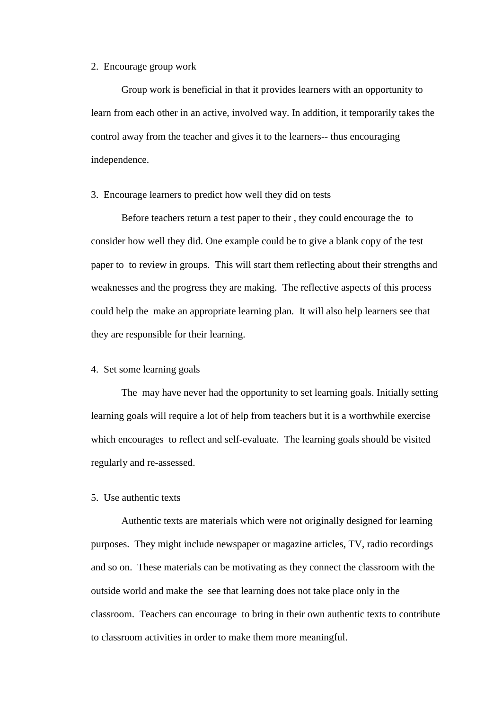#### 2. Encourage group work

Group work is beneficial in that it provides learners with an opportunity to learn from each other in an active, involved way. In addition, it temporarily takes the control away from the teacher and gives it to the learners-- thus encouraging independence.

### 3. Encourage learners to predict how well they did on tests

Before teachers return a test paper to their , they could encourage the to consider how well they did. One example could be to give a blank copy of the test paper to to review in groups. This will start them reflecting about their strengths and weaknesses and the progress they are making. The reflective aspects of this process could help the make an appropriate learning plan. It will also help learners see that they are responsible for their learning.

### 4. Set some learning goals

The may have never had the opportunity to set learning goals. Initially setting learning goals will require a lot of help from teachers but it is a worthwhile exercise which encourages to reflect and self-evaluate. The learning goals should be visited regularly and re-assessed.

## 5. Use authentic texts

Authentic texts are materials which were not originally designed for learning purposes. They might include newspaper or magazine articles, TV, radio recordings and so on. These materials can be motivating as they connect the classroom with the outside world and make the see that learning does not take place only in the classroom. Teachers can encourage to bring in their own authentic texts to contribute to classroom activities in order to make them more meaningful.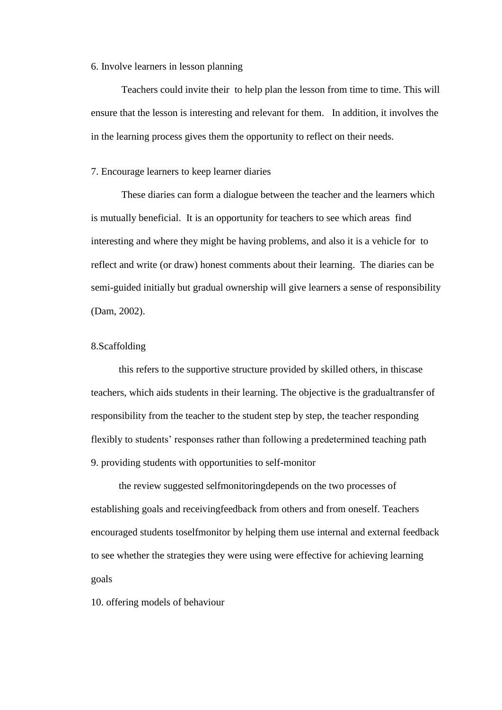#### 6. Involve learners in lesson planning

Teachers could invite their to help plan the lesson from time to time. This will ensure that the lesson is interesting and relevant for them. In addition, it involves the in the learning process gives them the opportunity to reflect on their needs.

## 7. Encourage learners to keep learner diaries

These diaries can form a dialogue between the teacher and the learners which is mutually beneficial. It is an opportunity for teachers to see which areas find interesting and where they might be having problems, and also it is a vehicle for to reflect and write (or draw) honest comments about their learning. The diaries can be semi-guided initially but gradual ownership will give learners a sense of responsibility (Dam, 2002).

## 8.Scaffolding

 this refers to the supportive structure provided by skilled others, in thiscase teachers, which aids students in their learning. The objective is the gradualtransfer of responsibility from the teacher to the student step by step, the teacher responding flexibly to students' responses rather than following a predetermined teaching path 9. providing students with opportunities to self-monitor

 the review suggested selfmonitoringdepends on the two processes of establishing goals and receivingfeedback from others and from oneself. Teachers encouraged students toselfmonitor by helping them use internal and external feedback to see whether the strategies they were using were effective for achieving learning goals

10. offering models of behaviour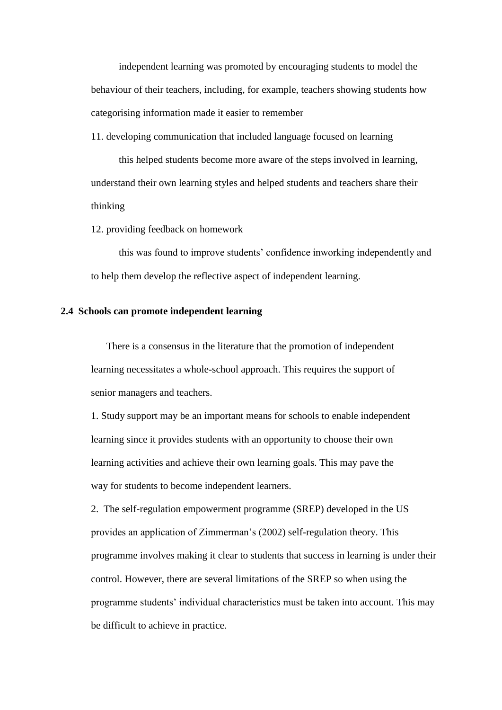independent learning was promoted by encouraging students to model the behaviour of their teachers, including, for example, teachers showing students how categorising information made it easier to remember

11. developing communication that included language focused on learning

 this helped students become more aware of the steps involved in learning, understand their own learning styles and helped students and teachers share their thinking

12. providing feedback on homework

 this was found to improve students' confidence inworking independently and to help them develop the reflective aspect of independent learning.

### **2.4 Schools can promote independent learning**

 There is a consensus in the literature that the promotion of independent learning necessitates a whole-school approach. This requires the support of senior managers and teachers.

1. Study support may be an important means for schools to enable independent learning since it provides students with an opportunity to choose their own learning activities and achieve their own learning goals. This may pave the way for students to become independent learners.

2. The self-regulation empowerment programme (SREP) developed in the US provides an application of Zimmerman's (2002) self-regulation theory. This programme involves making it clear to students that success in learning is under their control. However, there are several limitations of the SREP so when using the programme students' individual characteristics must be taken into account. This may be difficult to achieve in practice.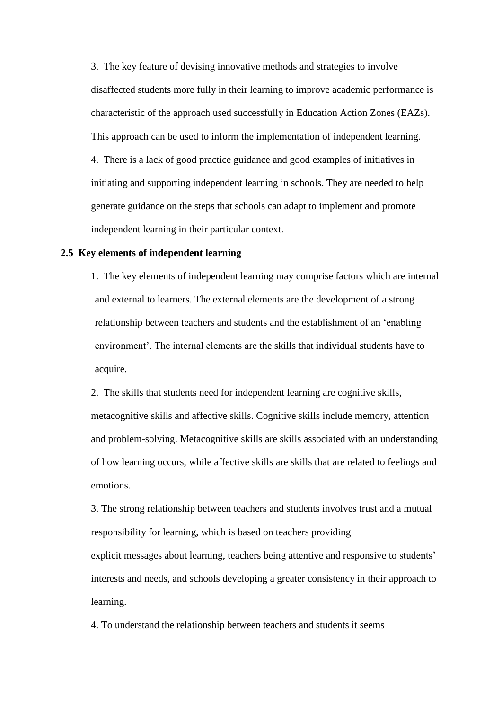3. The key feature of devising innovative methods and strategies to involve disaffected students more fully in their learning to improve academic performance is characteristic of the approach used successfully in Education Action Zones (EAZs). This approach can be used to inform the implementation of independent learning. 4. There is a lack of good practice guidance and good examples of initiatives in initiating and supporting independent learning in schools. They are needed to help generate guidance on the steps that schools can adapt to implement and promote independent learning in their particular context.

### **2.5 Key elements of independent learning**

 1. The key elements of independent learning may comprise factors which are internal and external to learners. The external elements are the development of a strong relationship between teachers and students and the establishment of an 'enabling environment'. The internal elements are the skills that individual students have to acquire.

2. The skills that students need for independent learning are cognitive skills, metacognitive skills and affective skills. Cognitive skills include memory, attention and problem-solving. Metacognitive skills are skills associated with an understanding of how learning occurs, while affective skills are skills that are related to feelings and emotions.

3. The strong relationship between teachers and students involves trust and a mutual responsibility for learning, which is based on teachers providing explicit messages about learning, teachers being attentive and responsive to students' interests and needs, and schools developing a greater consistency in their approach to learning.

4. To understand the relationship between teachers and students it seems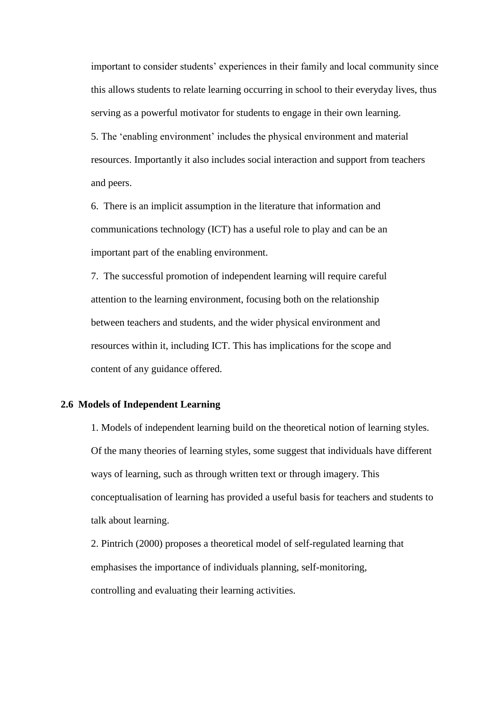important to consider students' experiences in their family and local community since this allows students to relate learning occurring in school to their everyday lives, thus serving as a powerful motivator for students to engage in their own learning.

 5. The 'enabling environment' includes the physical environment and material resources. Importantly it also includes social interaction and support from teachers and peers.

6. There is an implicit assumption in the literature that information and communications technology (ICT) has a useful role to play and can be an important part of the enabling environment.

7. The successful promotion of independent learning will require careful attention to the learning environment, focusing both on the relationship between teachers and students, and the wider physical environment and resources within it, including ICT. This has implications for the scope and content of any guidance offered.

# **2.6 Models of Independent Learning**

1. Models of independent learning build on the theoretical notion of learning styles. Of the many theories of learning styles, some suggest that individuals have different ways of learning, such as through written text or through imagery. This conceptualisation of learning has provided a useful basis for teachers and students to talk about learning.

2. Pintrich (2000) proposes a theoretical model of self-regulated learning that emphasises the importance of individuals planning, self-monitoring, controlling and evaluating their learning activities.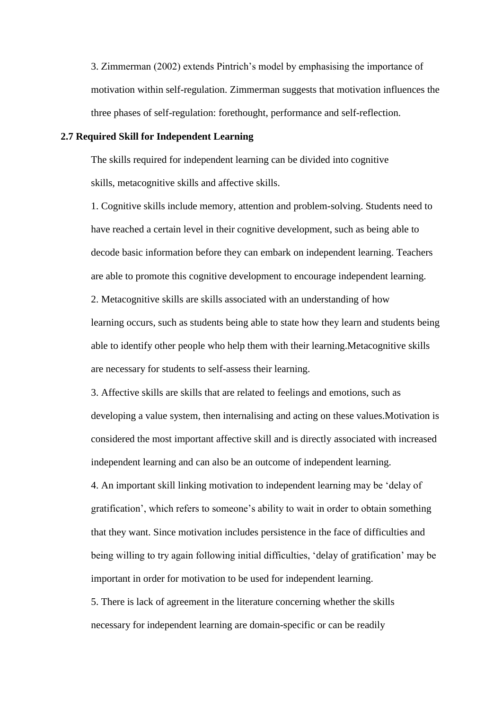3. Zimmerman (2002) extends Pintrich's model by emphasising the importance of motivation within self-regulation. Zimmerman suggests that motivation influences the three phases of self-regulation: forethought, performance and self-reflection.

#### **2.7 Required Skill for Independent Learning**

The skills required for independent learning can be divided into cognitive skills, metacognitive skills and affective skills.

1. Cognitive skills include memory, attention and problem-solving. Students need to have reached a certain level in their cognitive development, such as being able to decode basic information before they can embark on independent learning. Teachers are able to promote this cognitive development to encourage independent learning.

2. Metacognitive skills are skills associated with an understanding of how learning occurs, such as students being able to state how they learn and students being able to identify other people who help them with their learning.Metacognitive skills are necessary for students to self-assess their learning.

3. Affective skills are skills that are related to feelings and emotions, such as developing a value system, then internalising and acting on these values.Motivation is considered the most important affective skill and is directly associated with increased independent learning and can also be an outcome of independent learning.

4. An important skill linking motivation to independent learning may be 'delay of gratification', which refers to someone's ability to wait in order to obtain something that they want. Since motivation includes persistence in the face of difficulties and being willing to try again following initial difficulties, 'delay of gratification' may be important in order for motivation to be used for independent learning.

5. There is lack of agreement in the literature concerning whether the skills necessary for independent learning are domain-specific or can be readily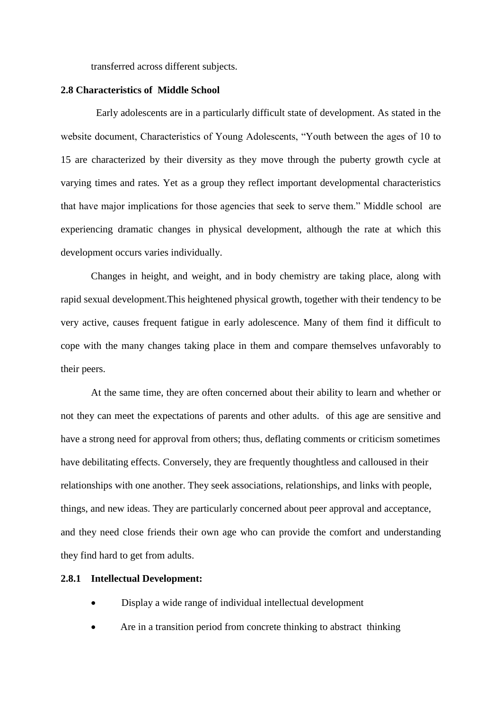transferred across different subjects.

### **2.8 Characteristics of Middle School**

 Early adolescents are in a particularly difficult state of development. As stated in the website document, Characteristics of Young Adolescents, "Youth between the ages of 10 to 15 are characterized by their diversity as they move through the puberty growth cycle at varying times and rates. Yet as a group they reflect important developmental characteristics that have major implications for those agencies that seek to serve them." Middle school are experiencing dramatic changes in physical development, although the rate at which this development occurs varies individually.

Changes in height, and weight, and in body chemistry are taking place, along with rapid sexual development.This heightened physical growth, together with their tendency to be very active, causes frequent fatigue in early adolescence. Many of them find it difficult to cope with the many changes taking place in them and compare themselves unfavorably to their peers.

At the same time, they are often concerned about their ability to learn and whether or not they can meet the expectations of parents and other adults. of this age are sensitive and have a strong need for approval from others; thus, deflating comments or criticism sometimes have debilitating effects. Conversely, they are frequently thoughtless and calloused in their relationships with one another. They seek associations, relationships, and links with people, things, and new ideas. They are particularly concerned about peer approval and acceptance, and they need close friends their own age who can provide the comfort and understanding they find hard to get from adults.

# **2.8.1 Intellectual Development:**

- Display a wide range of individual intellectual development
- Are in a transition period from concrete thinking to abstract thinking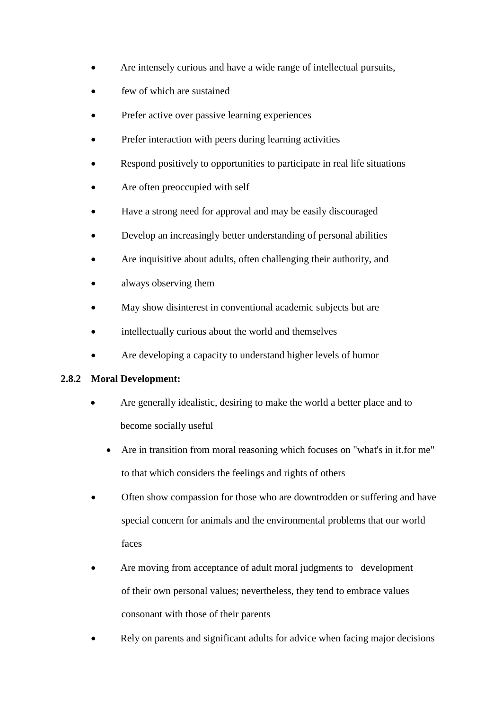- Are intensely curious and have a wide range of intellectual pursuits,
- few of which are sustained
- Prefer active over passive learning experiences
- Prefer interaction with peers during learning activities
- Respond positively to opportunities to participate in real life situations
- Are often preoccupied with self
- Have a strong need for approval and may be easily discouraged
- Develop an increasingly better understanding of personal abilities
- Are inquisitive about adults, often challenging their authority, and
- always observing them
- May show disinterest in conventional academic subjects but are
- intellectually curious about the world and themselves
- Are developing a capacity to understand higher levels of humor

# **2.8.2 Moral Development:**

- Are generally idealistic, desiring to make the world a better place and to become socially useful
	- Are in transition from moral reasoning which focuses on "what's in it.for me" to that which considers the feelings and rights of others
- Often show compassion for those who are downtrodden or suffering and have special concern for animals and the environmental problems that our world faces
- Are moving from acceptance of adult moral judgments to development of their own personal values; nevertheless, they tend to embrace values consonant with those of their parents
- Rely on parents and significant adults for advice when facing major decisions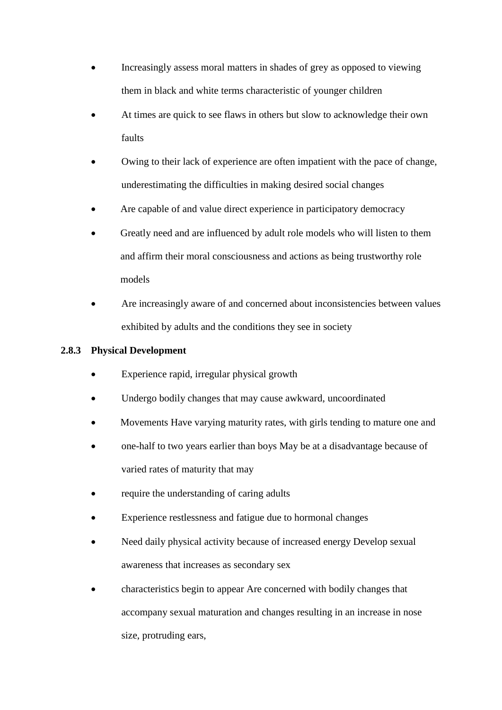- Increasingly assess moral matters in shades of grey as opposed to viewing them in black and white terms characteristic of younger children
- At times are quick to see flaws in others but slow to acknowledge their own faults
- Owing to their lack of experience are often impatient with the pace of change, underestimating the difficulties in making desired social changes
- Are capable of and value direct experience in participatory democracy
- Greatly need and are influenced by adult role models who will listen to them and affirm their moral consciousness and actions as being trustworthy role models
- Are increasingly aware of and concerned about inconsistencies between values exhibited by adults and the conditions they see in society

# **2.8.3 Physical Development**

- Experience rapid, irregular physical growth
- Undergo bodily changes that may cause awkward, uncoordinated
- Movements Have varying maturity rates, with girls tending to mature one and
- one-half to two years earlier than boys May be at a disadvantage because of varied rates of maturity that may
- require the understanding of caring adults
- Experience restlessness and fatigue due to hormonal changes
- Need daily physical activity because of increased energy Develop sexual awareness that increases as secondary sex
- characteristics begin to appear Are concerned with bodily changes that accompany sexual maturation and changes resulting in an increase in nose size, protruding ears,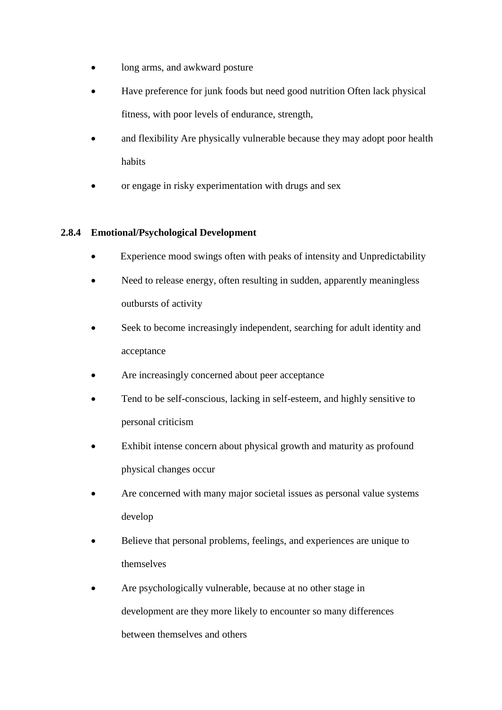- long arms, and awkward posture
- Have preference for junk foods but need good nutrition Often lack physical fitness, with poor levels of endurance, strength,
- and flexibility Are physically vulnerable because they may adopt poor health habits
- or engage in risky experimentation with drugs and sex

# **2.8.4 Emotional/Psychological Development**

- Experience mood swings often with peaks of intensity and Unpredictability
- Need to release energy, often resulting in sudden, apparently meaningless outbursts of activity
- Seek to become increasingly independent, searching for adult identity and acceptance
- Are increasingly concerned about peer acceptance
- Tend to be self-conscious, lacking in self-esteem, and highly sensitive to personal criticism
- Exhibit intense concern about physical growth and maturity as profound physical changes occur
- Are concerned with many major societal issues as personal value systems develop
- Believe that personal problems, feelings, and experiences are unique to themselves
- Are psychologically vulnerable, because at no other stage in development are they more likely to encounter so many differences between themselves and others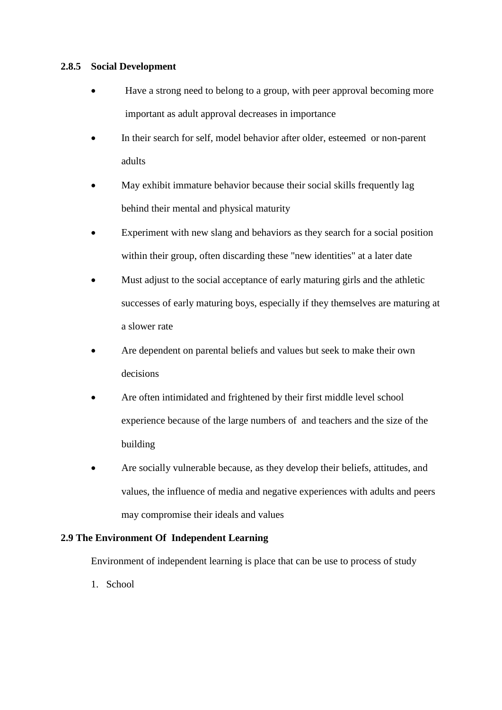# **2.8.5 Social Development**

- Have a strong need to belong to a group, with peer approval becoming more important as adult approval decreases in importance
- In their search for self, model behavior after older, esteemed or non-parent adults
- May exhibit immature behavior because their social skills frequently lag behind their mental and physical maturity
- Experiment with new slang and behaviors as they search for a social position within their group, often discarding these "new identities" at a later date
- Must adjust to the social acceptance of early maturing girls and the athletic successes of early maturing boys, especially if they themselves are maturing at a slower rate
- Are dependent on parental beliefs and values but seek to make their own decisions
- Are often intimidated and frightened by their first middle level school experience because of the large numbers of and teachers and the size of the building
- Are socially vulnerable because, as they develop their beliefs, attitudes, and values, the influence of media and negative experiences with adults and peers may compromise their ideals and values

# **2.9 The Environment Of Independent Learning**

Environment of independent learning is place that can be use to process of study

1. School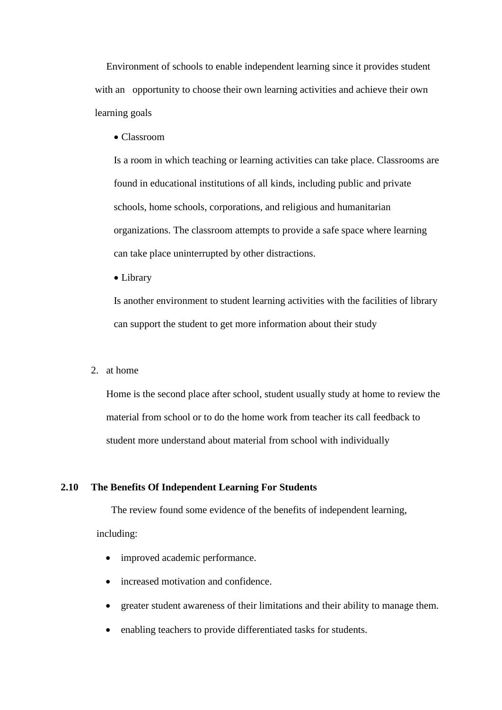Environment of schools to enable independent learning since it provides student with an opportunity to choose their own learning activities and achieve their own learning goals

Classroom

Is a [room](http://en.wikipedia.org/wiki/Room) in which [teaching](http://en.wikipedia.org/wiki/Teaching) or [learning](http://en.wikipedia.org/wiki/Learning) activities can take place. Classrooms are found in educational institutions of all kinds, including public and private schools, home schools, corporations, and religious and humanitarian organizations. The classroom attempts to provide a safe space where learning can take place uninterrupted by other distractions.

Library

Is another environment to student learning activities with the facilities of library can support the student to get more information about their study

2. at home

Home is the second place after school, student usually study at home to review the material from school or to do the home work from teacher its call feedback to student more understand about material from school with individually

### **2.10 The Benefits Of Independent Learning For Students**

 The review found some evidence of the benefits of independent learning, including:

- improved academic performance.
- increased motivation and confidence.
- greater student awareness of their limitations and their ability to manage them.
- enabling teachers to provide differentiated tasks for students.